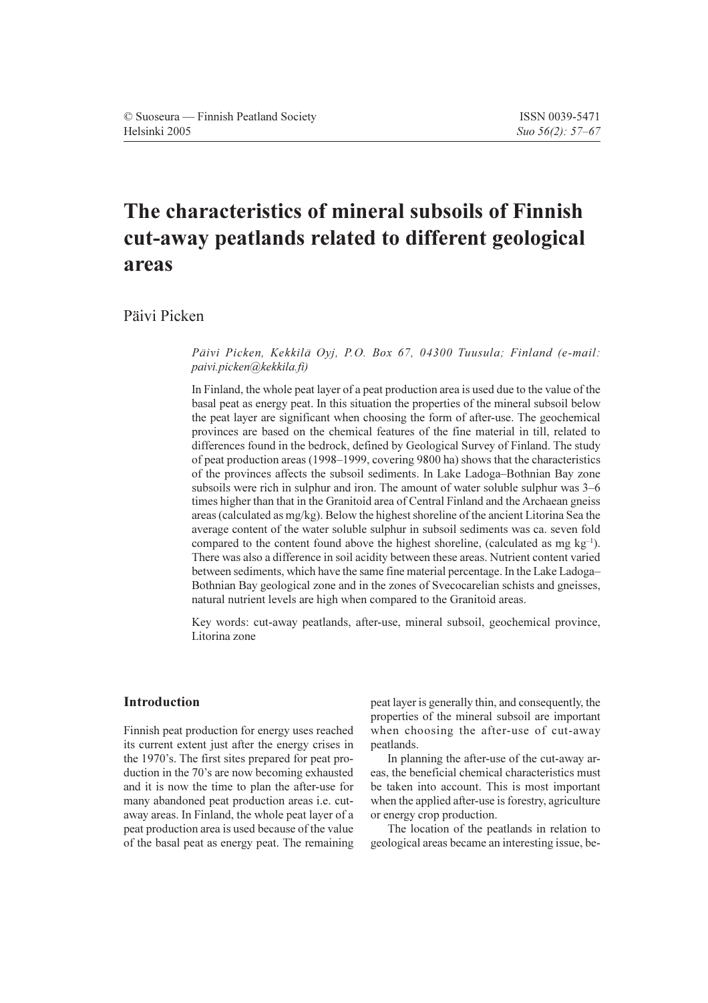# The characteristics of mineral subsoils of Finnish cut-away peatlands related to different geological areas

Päivi Picken

# Päivi Picken, Kekkilä Oyj, P.O. Box 67, 04300 Tuusula; Finland (e-mail: paivi.picken@kekkila.fi)

In Finland, the whole peat layer of a peat production area is used due to the value of the basal peat as energy peat. In this situation the properties of the mineral subsoil below the peat layer are significant when choosing the form of after-use. The geochemical provinces are based on the chemical features of the fine material in till, related to differences found in the bedrock, defined by Geological Survey of Finland. The study of peat production areas (1998–1999, covering 9800 ha) shows that the characteristics of the provinces affects the subsoil sediments. In Lake Ladoga-Bothnian Bay zone subsoils were rich in sulphur and iron. The amount of water soluble sulphur was 3–6 times higher than that in the Granitoid area of Central Finland and the Archaean gneiss areas (calculated as  $mg/kg$ ). Below the highest shoreline of the ancient Litorina Sea the average content of the water soluble sulphur in subsoil sediments was ca. seven fold compared to the content found above the highest shoreline, (calculated as mg  $kg^{-1}$ ). There was also a difference in soil acidity between these areas. Nutrient content varied between sediments, which have the same fine material percentage. In the Lake Ladoga-Bothnian Bay geological zone and in the zones of Svecocarelian schists and gneisses, natural nutrient levels are high when compared to the Granitoid areas.

Key words: cut-away peatlands, after-use, mineral subsoil, geochemical province, Litorina zone

# **Introduction**

Finnish peat production for energy uses reached its current extent just after the energy crises in the 1970's. The first sites prepared for peat production in the 70's are now becoming exhausted and it is now the time to plan the after-use for many abandoned peat production areas i.e. cutaway areas. In Finland, the whole peat layer of a peat production area is used because of the value of the basal peat as energy peat. The remaining peat layer is generally thin, and consequently, the properties of the mineral subsoil are important when choosing the after-use of cut-away peatlands.

In planning the after-use of the cut-away areas, the beneficial chemical characteristics must be taken into account. This is most important when the applied after-use is forestry, agriculture or energy crop production.

The location of the peatlands in relation to geological areas became an interesting issue, be-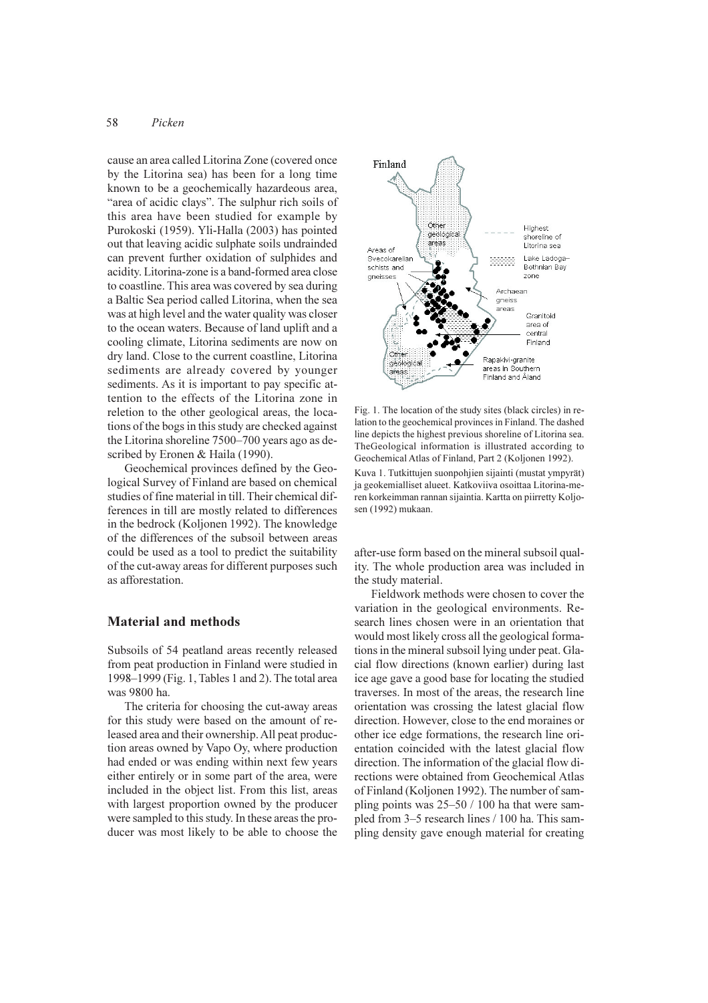#### 58 Picken

cause an area called Litorina Zone (covered once by the Litorina sea) has been for a long time known to be a geochemically hazardeous area, "area of acidic clays". The sulphur rich soils of this area have been studied for example by Purokoski (1959). Yli-Halla (2003) has pointed out that leaving acidic sulphate soils undrainded can prevent further oxidation of sulphides and acidity. Litorina-zone is a band-formed area close to coastline. This area was covered by sea during a Baltic Sea period called Litorina, when the sea was at high level and the water quality was closer to the ocean waters. Because of land uplift and a cooling climate, Litorina sediments are now on dry land. Close to the current coastline, Litorina sediments are already covered by younger sediments. As it is important to pay specific attention to the effects of the Litorina zone in reletion to the other geological areas, the locations of the bogs in this study are checked against the Litorina shoreline 7500–700 years ago as described by Eronen & Haila (1990).

Geochemical provinces defined by the Geological Survey of Finland are based on chemical studies of fine material in till. Their chemical differences in till are mostly related to differences in the bedrock (Koljonen 1992). The knowledge of the differences of the subsoil between areas could be used as a tool to predict the suitability of the cut-away areas for different purposes such as afforestation.

# **Material and methods**

Subsoils of 54 peatland areas recently released from peat production in Finland were studied in 1998–1999 (Fig. 1, Tables 1 and 2). The total area was 9800 ha.

The criteria for choosing the cut-away areas for this study were based on the amount of released area and their ownership. All peat production areas owned by Vapo Oy, where production had ended or was ending within next few years either entirely or in some part of the area, were included in the object list. From this list, areas with largest proportion owned by the producer were sampled to this study. In these areas the producer was most likely to be able to choose the



Fig. 1. The location of the study sites (black circles) in relation to the geochemical provinces in Finland. The dashed line depicts the highest previous shoreline of Litorina sea. TheGeological information is illustrated according to Geochemical Atlas of Finland, Part 2 (Koljonen 1992).

Kuva 1. Tutkittujen suonpohjien sijainti (mustat ympyrät) ja geokemialliset alueet. Katkoviiva osoittaa Litorina-meren korkeimman rannan sijaintia. Kartta on piirretty Koljosen (1992) mukaan.

after-use form based on the mineral subsoil quality. The whole production area was included in the study material.

Fieldwork methods were chosen to cover the variation in the geological environments. Research lines chosen were in an orientation that would most likely cross all the geological formations in the mineral subsoil lying under peat. Glacial flow directions (known earlier) during last ice age gave a good base for locating the studied traverses. In most of the areas, the research line orientation was crossing the latest glacial flow direction. However, close to the end moraines or other ice edge formations, the research line orientation coincided with the latest glacial flow direction. The information of the glacial flow directions were obtained from Geochemical Atlas of Finland (Koljonen 1992). The number of sampling points was  $25-50/100$  ha that were sampled from 3–5 research lines / 100 ha. This sampling density gave enough material for creating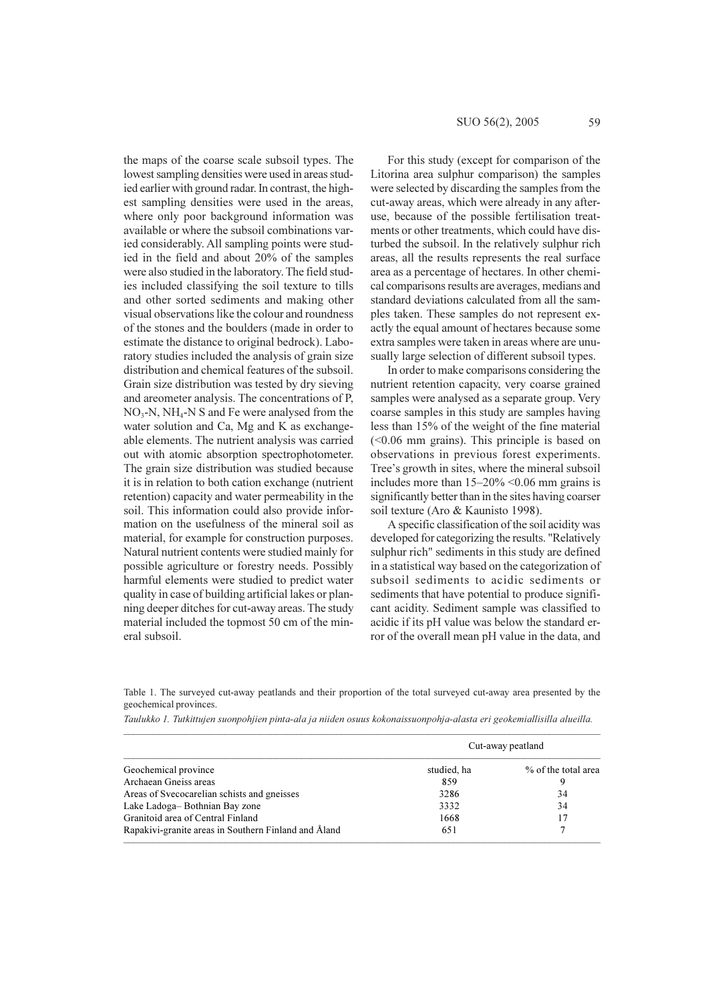the maps of the coarse scale subsoil types. The lowest sampling densities were used in areas studied earlier with ground radar. In contrast, the highest sampling densities were used in the areas, where only poor background information was available or where the subsoil combinations varied considerably. All sampling points were studied in the field and about 20% of the samples were also studied in the laboratory. The field studies included classifying the soil texture to tills and other sorted sediments and making other visual observations like the colour and roundness of the stones and the boulders (made in order to estimate the distance to original bedrock). Laboratory studies included the analysis of grain size distribution and chemical features of the subsoil. Grain size distribution was tested by dry sieving and areometer analysis. The concentrations of P,  $NO_3$ -N, NH<sub>4</sub>-N S and Fe were analysed from the water solution and Ca, Mg and K as exchangeable elements. The nutrient analysis was carried out with atomic absorption spectrophotometer. The grain size distribution was studied because it is in relation to both cation exchange (nutrient retention) capacity and water permeability in the soil. This information could also provide information on the usefulness of the mineral soil as material, for example for construction purposes. Natural nutrient contents were studied mainly for possible agriculture or forestry needs. Possibly harmful elements were studied to predict water quality in case of building artificial lakes or planning deeper ditches for cut-away areas. The study material included the topmost 50 cm of the mineral subsoil.

For this study (except for comparison of the Litorina area sulphur comparison) the samples were selected by discarding the samples from the cut-away areas, which were already in any afteruse, because of the possible fertilisation treatments or other treatments, which could have disturbed the subsoil. In the relatively sulphur rich areas, all the results represents the real surface area as a percentage of hectares. In other chemical comparisons results are averages, medians and standard deviations calculated from all the samples taken. These samples do not represent exactly the equal amount of hectares because some extra samples were taken in areas where are unusually large selection of different subsoil types.

In order to make comparisons considering the nutrient retention capacity, very coarse grained samples were analysed as a separate group. Very coarse samples in this study are samples having less than 15% of the weight of the fine material  $(<0.06$  mm grains). This principle is based on observations in previous forest experiments. Tree's growth in sites, where the mineral subsoil includes more than  $15-20\% \le 0.06$  mm grains is significantly better than in the sites having coarser soil texture (Aro & Kaunisto 1998).

A specific classification of the soil acidity was developed for categorizing the results. "Relatively sulphur rich" sediments in this study are defined in a statistical way based on the categorization of subsoil sediments to acidic sediments or sediments that have potential to produce significant acidity. Sediment sample was classified to acidic if its pH value was below the standard error of the overall mean pH value in the data, and

Table 1. The surveyed cut-away peatlands and their proportion of the total surveyed cut-away area presented by the geochemical provinces.

Taulukko 1. Tutkittujen suonpohjien pinta-ala ja niiden osuus kokonaissuonpohja-alasta eri geokemiallisilla alueilla.

|                                                      | Cut-away peatland |                     |  |  |
|------------------------------------------------------|-------------------|---------------------|--|--|
| Geochemical province                                 | studied, ha       | % of the total area |  |  |
| Archaean Gneiss areas                                | 859               |                     |  |  |
| Areas of Svecocarelian schists and gneisses          | 3286              | 34                  |  |  |
| Lake Ladoga-Bothnian Bay zone                        | 3332              | 34                  |  |  |
| Granitoid area of Central Finland                    | 1668              | 17                  |  |  |
| Rapakivi-granite areas in Southern Finland and Åland | 651               |                     |  |  |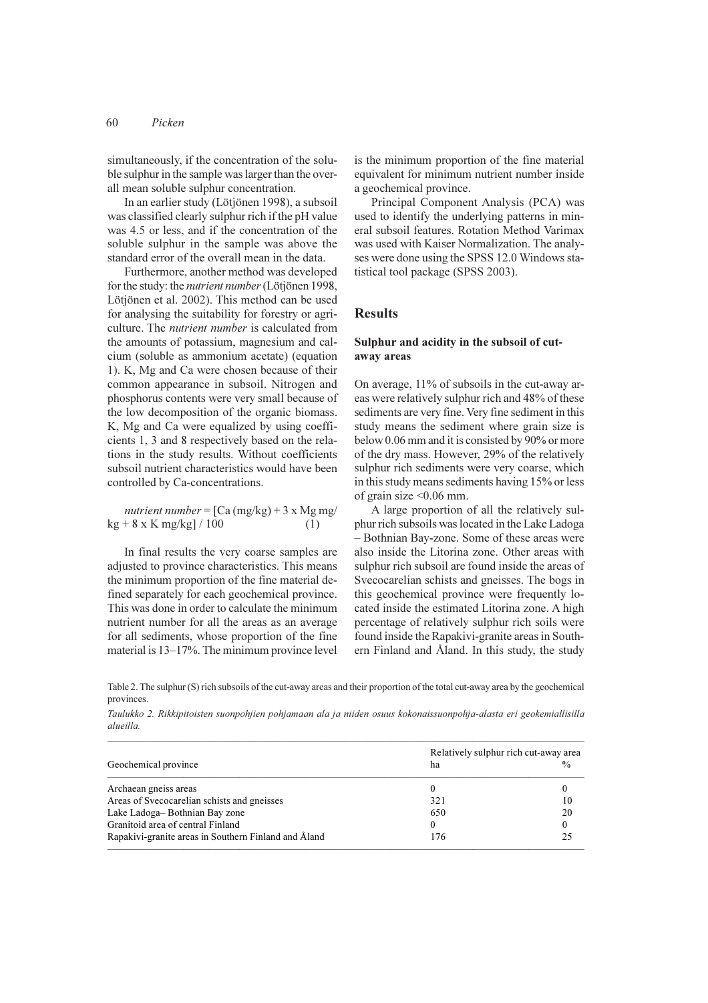simultaneously, if the concentration of the soluble sulphur in the sample was larger than the overall mean soluble sulphur concentration.

In an earlier study (Lötjönen 1998), a subsoil was classified clearly sulphur rich if the pH value was 4.5 or less, and if the concentration of the soluble sulphur in the sample was above the standard error of the overall mean in the data.

Furthermore, another method was developed for the study: the nutrient number (Lötjönen 1998, Lötjönen et al. 2002). This method can be used for analysing the suitability for forestry or agriculture. The *nutrient number* is calculated from the amounts of potassium, magnesium and calcium (soluble as ammonium acetate) (equation 1). K, Mg and Ca were chosen because of their common appearance in subsoil. Nitrogen and phosphorus contents were very small because of the low decomposition of the organic biomass. K, Mg and Ca were equalized by using coefficients 1, 3 and 8 respectively based on the relations in the study results. Without coefficients subsoil nutrient characteristics would have been controlled by Ca-concentrations.

nutrient number =  $[Ca (mg/kg) + 3 x Mg mg/$  $kg + 8 \times K$  mg/kg] / 100  $(1)$ 

In final results the very coarse samples are adjusted to province characteristics. This means the minimum proportion of the fine material defined separately for each geochemical province. This was done in order to calculate the minimum nutrient number for all the areas as an average for all sediments, whose proportion of the fine material is 13–17%. The minimum province level

is the minimum proportion of the fine material equivalent for minimum nutrient number inside a geochemical province.

Principal Component Analysis (PCA) was used to identify the underlying patterns in mineral subsoil features. Rotation Method Varimax was used with Kaiser Normalization. The analyses were done using the SPSS 12.0 Windows statistical tool package (SPSS 2003).

## **Results**

# Sulphur and acidity in the subsoil of cutaway areas

On average, 11% of subsoils in the cut-away areas were relatively sulphur rich and 48% of these sediments are very fine. Very fine sediment in this study means the sediment where grain size is below 0.06 mm and it is consisted by 90% or more of the dry mass. However, 29% of the relatively sulphur rich sediments were very coarse, which in this study means sediments having 15% or less of grain size  $\leq 0.06$  mm.

A large proportion of all the relatively sulphur rich subsoils was located in the Lake Ladoga - Bothnian Bay-zone. Some of these areas were also inside the Litorina zone. Other areas with sulphur rich subsoil are found inside the areas of Svecocarelian schists and gneisses. The bogs in this geochemical province were frequently located inside the estimated Litorina zone. A high percentage of relatively sulphur rich soils were found inside the Rapakivi-granite areas in Southern Finland and Åland. In this study, the study

Table 2. The sulphur (S) rich subsoils of the cut-away areas and their proportion of the total cut-away area by the geochemical provinces.

|           |  |  | Taulukko 2. Rikkipitoisten suonpohjien pohjamaan ala ja niiden osuus kokonaissuonpohja-alasta eri geokemiallisilla |  |  |
|-----------|--|--|--------------------------------------------------------------------------------------------------------------------|--|--|
| alueilla. |  |  |                                                                                                                    |  |  |

| Geochemical province                                 | Relatively sulphur rich cut-away area<br>$\frac{0}{0}$<br>ha |          |  |
|------------------------------------------------------|--------------------------------------------------------------|----------|--|
| Archaean gneiss areas                                |                                                              |          |  |
| Areas of Svecocarelian schists and gneisses          | 321                                                          | 10       |  |
| Lake Ladoga-Bothnian Bay zone                        | 650                                                          | 20       |  |
| Granitoid area of central Finland                    | $\Omega$                                                     | $\theta$ |  |
| Rapakivi-granite areas in Southern Finland and Aland | 176                                                          | 25       |  |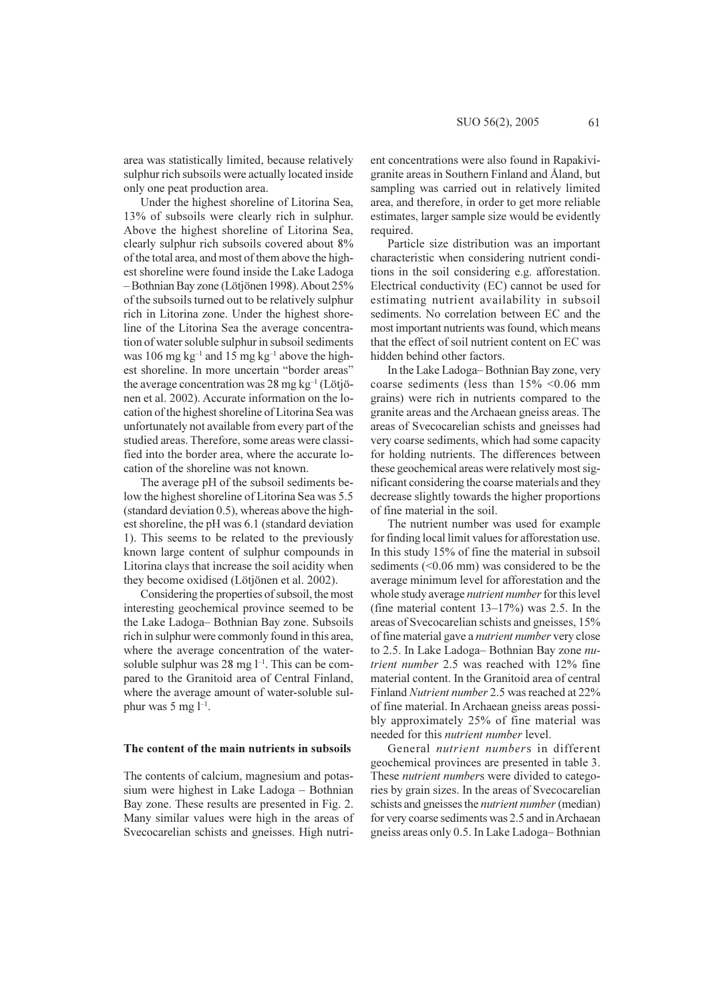area was statistically limited, because relatively sulphur rich subsoils were actually located inside only one peat production area.

Under the highest shoreline of Litorina Sea, 13% of subsoils were clearly rich in sulphur. Above the highest shoreline of Litorina Sea, clearly sulphur rich subsoils covered about 8% of the total area, and most of them above the highest shoreline were found inside the Lake Ladoga -Bothnian Bay zone (Lötjönen 1998). About 25% of the subsoils turned out to be relatively sulphur rich in Litorina zone. Under the highest shoreline of the Litorina Sea the average concentration of water soluble sulphur in subsoil sediments was 106 mg  $kg^{-1}$  and 15 mg  $kg^{-1}$  above the highest shoreline. In more uncertain "border areas" the average concentration was 28 mg  $kg^{-1}$  (Lötjönen et al. 2002). Accurate information on the location of the highest shoreline of Litorina Sea was unfortunately not available from every part of the studied areas. Therefore, some areas were classified into the border area, where the accurate location of the shoreline was not known.

The average pH of the subsoil sediments below the highest shoreline of Litorina Sea was 5.5 (standard deviation  $0.5$ ), whereas above the highest shoreline, the pH was 6.1 (standard deviation 1). This seems to be related to the previously known large content of sulphur compounds in Litorina clays that increase the soil acidity when they become oxidised (Lötjönen et al. 2002).

Considering the properties of subsoil, the most interesting geochemical province seemed to be the Lake Ladoga-Bothnian Bay zone. Subsoils rich in sulphur were commonly found in this area, where the average concentration of the watersoluble sulphur was 28 mg  $l^{-1}$ . This can be compared to the Granitoid area of Central Finland, where the average amount of water-soluble sulphur was  $5 \text{ mg } l^{-1}$ .

#### The content of the main nutrients in subsoils

The contents of calcium, magnesium and potassium were highest in Lake Ladoga - Bothnian Bay zone. These results are presented in Fig. 2. Many similar values were high in the areas of Svecocarelian schists and gneisses. High nutrient concentrations were also found in Rapakivigranite areas in Southern Finland and Åland, but sampling was carried out in relatively limited area, and therefore, in order to get more reliable estimates, larger sample size would be evidently required.

Particle size distribution was an important characteristic when considering nutrient conditions in the soil considering e.g. afforestation. Electrical conductivity (EC) cannot be used for estimating nutrient availability in subsoil sediments. No correlation between EC and the most important nutrients was found, which means that the effect of soil nutrient content on EC was hidden behind other factors.

In the Lake Ladoga-Bothnian Bay zone, very coarse sediments (less than 15% <0.06 mm grains) were rich in nutrients compared to the granite areas and the Archaean gneiss areas. The areas of Svecocarelian schists and gneisses had very coarse sediments, which had some capacity for holding nutrients. The differences between these geochemical areas were relatively most significant considering the coarse materials and they decrease slightly towards the higher proportions of fine material in the soil.

The nutrient number was used for example for finding local limit values for afforestation use. In this study 15% of fine the material in subsoil sediments  $(<0.06$  mm) was considered to be the average minimum level for afforestation and the whole study average *nutrient number* for this level (fine material content  $13-17\%$ ) was 2.5. In the areas of Svecocarelian schists and gneisses, 15% of fine material gave a *nutrient number* very close to 2.5. In Lake Ladoga-Bothnian Bay zone nutrient number 2.5 was reached with 12% fine material content. In the Granitoid area of central Finland Nutrient number 2.5 was reached at 22% of fine material. In Archaean gneiss areas possibly approximately 25% of fine material was needed for this nutrient number level.

General *nutrient numbers* in different geochemical provinces are presented in table 3. These nutrient numbers were divided to categories by grain sizes. In the areas of Svecocarelian schists and gneisses the *nutrient number* (median) for very coarse sediments was 2.5 and in Archaean gneiss areas only 0.5. In Lake Ladoga-Bothnian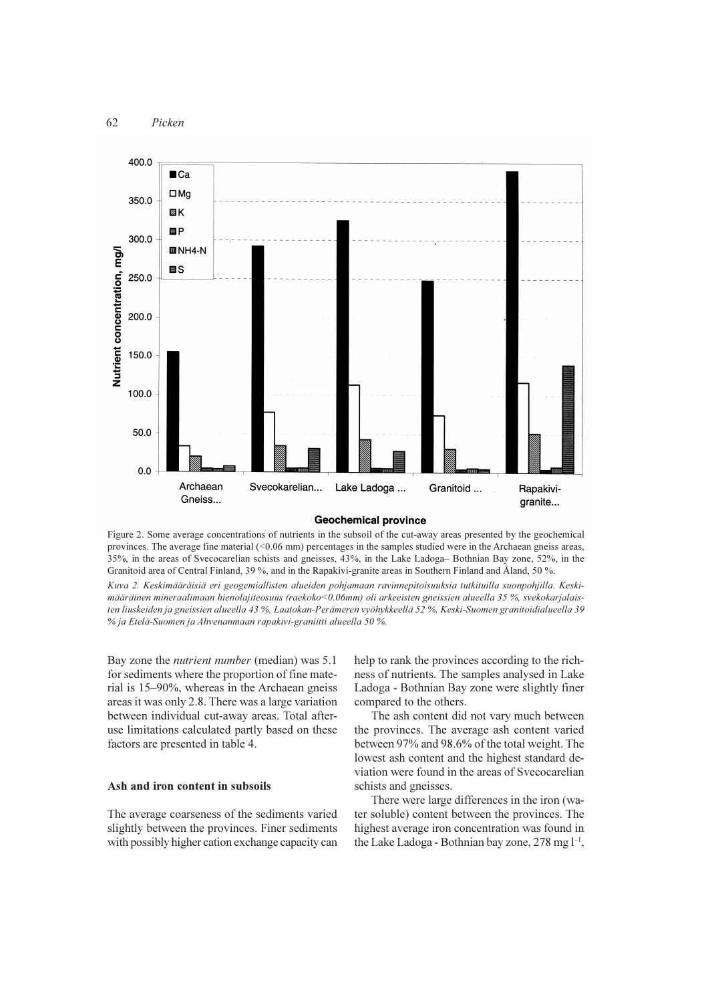

#### **Geochemical province**

Figure 2. Some average concentrations of nutrients in the subsoil of the cut-away areas presented by the geochemical provinces. The average fine material (<0.06 mm) percentages in the samples studied were in the Archaean gneiss areas, 35%, in the areas of Svecocarelian schists and gneisses, 43%, in the Lake Ladoga-Bothnian Bay zone, 52%, in the Granitoid area of Central Finland, 39%, and in the Rapakivi-granite areas in Southern Finland and Åland, 50%.

Kuva 2. Keskimääräisiä eri geogemiallisten alueiden pohjamaan ravinnepitoisuuksia tutkituilla suonpohjilla. Keskimääräinen mineraalimaan hienolajiteosuus (raekoko<0.06mm) oli arkeeisten gneissien alueella 35 %, svekokarjalaisten liuskeiden ja gneissien alueella 43 %, Laatokan-Perämeren vyöhykkeellä 52 %, Keski-Suomen granitoidialueella 39 % ja Etelä-Suomen ja Ahvenanmaan rapakivi-graniitti alueella 50 %.

Bay zone the *nutrient number* (median) was 5.1 for sediments where the proportion of fine material is 15–90%, whereas in the Archaean gneiss areas it was only 2.8. There was a large variation between individual cut-away areas. Total afteruse limitations calculated partly based on these factors are presented in table 4.

#### Ash and iron content in subsoils

The average coarseness of the sediments varied slightly between the provinces. Finer sediments with possibly higher cation exchange capacity can help to rank the provinces according to the richness of nutrients. The samples analysed in Lake Ladoga - Bothnian Bay zone were slightly finer compared to the others.

The ash content did not vary much between the provinces. The average ash content varied between 97% and 98.6% of the total weight. The lowest ash content and the highest standard deviation were found in the areas of Svecocarelian schists and gneisses.

There were large differences in the iron (water soluble) content between the provinces. The highest average iron concentration was found in the Lake Ladoga - Bothnian bay zone, 278 mg  $l^{-1}$ .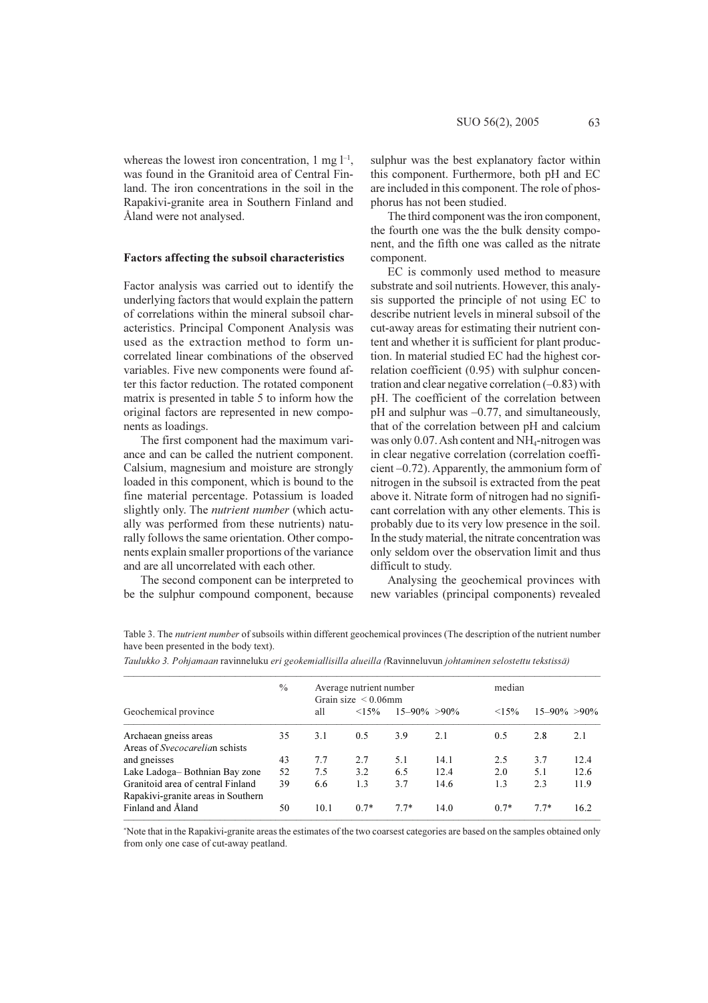whereas the lowest iron concentration, 1 mg  $l^{-1}$ , was found in the Granitoid area of Central Finland. The iron concentrations in the soil in the Rapakivi-granite area in Southern Finland and Åland were not analysed.

#### **Factors affecting the subsoil characteristics**

Factor analysis was carried out to identify the underlying factors that would explain the pattern of correlations within the mineral subsoil characteristics. Principal Component Analysis was used as the extraction method to form uncorrelated linear combinations of the observed variables. Five new components were found after this factor reduction. The rotated component matrix is presented in table 5 to inform how the original factors are represented in new components as loadings.

The first component had the maximum variance and can be called the nutrient component. Calsium, magnesium and moisture are strongly loaded in this component, which is bound to the fine material percentage. Potassium is loaded slightly only. The *nutrient number* (which actually was performed from these nutrients) naturally follows the same orientation. Other components explain smaller proportions of the variance and are all uncorrelated with each other.

The second component can be interpreted to be the sulphur compound component, because sulphur was the best explanatory factor within this component. Furthermore, both pH and EC are included in this component. The role of phosphorus has not been studied.

The third component was the iron component. the fourth one was the the bulk density component, and the fifth one was called as the nitrate component.

EC is commonly used method to measure substrate and soil nutrients. However, this analysis supported the principle of not using EC to describe nutrient levels in mineral subsoil of the cut-away areas for estimating their nutrient content and whether it is sufficient for plant production. In material studied EC had the highest correlation coefficient (0.95) with sulphur concentration and clear negative correlation  $(-0.83)$  with pH. The coefficient of the correlation between  $pH$  and sulphur was  $-0.77$ , and simultaneously, that of the correlation between pH and calcium was only 0.07. Ash content and NH<sub>4</sub>-nitrogen was in clear negative correlation (correlation coeffi $cient -0.72$ ). Apparently, the ammonium form of nitrogen in the subsoil is extracted from the peat above it. Nitrate form of nitrogen had no significant correlation with any other elements. This is probably due to its very low presence in the soil. In the study material, the nitrate concentration was only seldom over the observation limit and thus difficult to study.

Analysing the geochemical provinces with new variables (principal components) revealed

Table 3. The nutrient number of subsoils within different geochemical provinces (The description of the nutrient number have been presented in the body text).

|                                                                         | $\frac{0}{0}$ | Average nutrient number<br>Grain size $\leq 0.06$ mm |             |                    |      | median |                    |      |  |
|-------------------------------------------------------------------------|---------------|------------------------------------------------------|-------------|--------------------|------|--------|--------------------|------|--|
| Geochemical province                                                    |               | all                                                  | $\leq 15\%$ | $15 - 90\% > 90\%$ |      | <15%   | $15 - 90\% > 90\%$ |      |  |
| Archaean gneiss areas<br>Areas of <i>Syecocarelian</i> schists          | 35            | 3.1                                                  | 0.5         | 3.9                | 2.1  | 0.5    | 2.8                | 2.1  |  |
| and gneisses                                                            | 43            | 7.7                                                  | 2.7         | 5.1                | 14.1 | 2.5    | 3.7                | 12.4 |  |
| Lake Ladoga-Bothnian Bay zone                                           | 52            | 7.5                                                  | 3.2         | 6.5                | 12.4 | 2.0    | 5.1                | 12.6 |  |
| Granitoid area of central Finland<br>Rapakivi-granite areas in Southern | 39            | 6.6                                                  | 1.3         | 3.7                | 14.6 | 1.3    | 2.3                | 11.9 |  |
| Finland and Åland                                                       | 50            | 10.1                                                 | $0.7*$      | $7.7*$             | 14.0 | $0.7*$ | $7.7*$             | 16.2 |  |

Taulukko 3. Pohjamaan ravinneluku eri geokemiallisilla alueilla (Ravinneluvun johtaminen selostettu tekstissä)

\*Note that in the Rapakivi-granite areas the estimates of the two coarsest categories are based on the samples obtained only from only one case of cut-away peatland.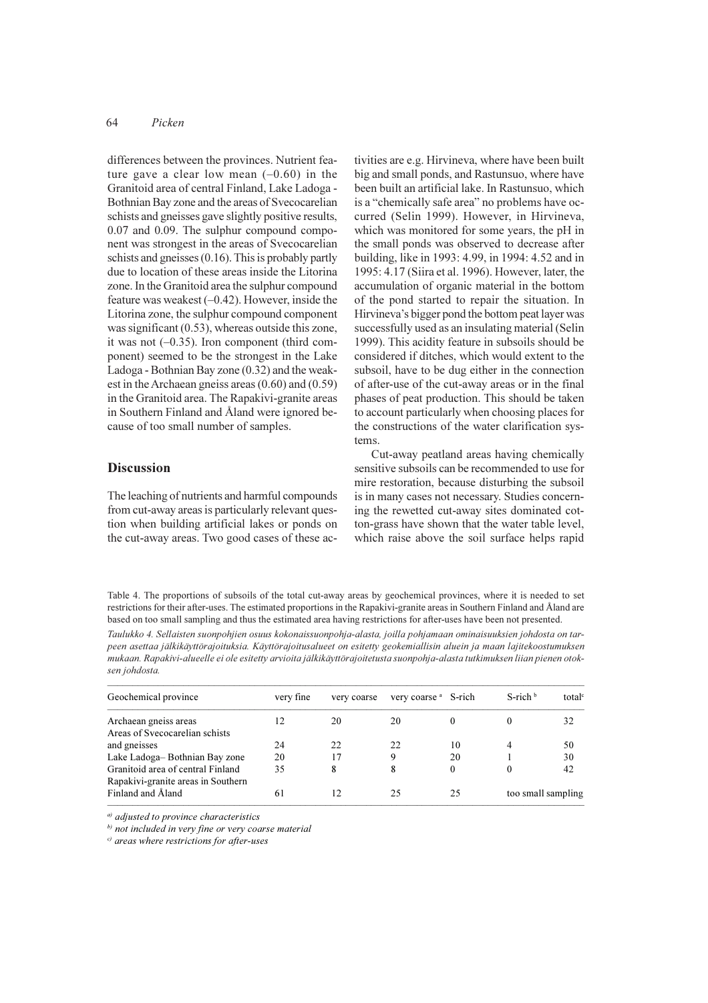#### 64 Picken

differences between the provinces. Nutrient feature gave a clear low mean  $(-0.60)$  in the Granitoid area of central Finland, Lake Ladoga -Bothnian Bay zone and the areas of Svecocarelian schists and gneisses gave slightly positive results, 0.07 and 0.09. The sulphur compound component was strongest in the areas of Svecocarelian schists and gneisses  $(0.16)$ . This is probably partly due to location of these areas inside the Litorina zone. In the Granitoid area the sulphur compound feature was weakest  $(-0.42)$ . However, inside the Litorina zone, the sulphur compound component was significant  $(0.53)$ , whereas outside this zone, it was not  $(-0.35)$ . Iron component (third component) seemed to be the strongest in the Lake Ladoga - Bothnian Bay zone (0.32) and the weakest in the Archaean gneiss areas  $(0.60)$  and  $(0.59)$ in the Granitoid area. The Rapakivi-granite areas in Southern Finland and Åland were ignored because of too small number of samples.

# **Discussion**

The leaching of nutrients and harmful compounds from cut-away areas is particularly relevant question when building artificial lakes or ponds on the cut-away areas. Two good cases of these activities are e.g. Hirvineva, where have been built big and small ponds, and Rastunsuo, where have been built an artificial lake. In Rastunsuo, which is a "chemically safe area" no problems have occurred (Selin 1999). However, in Hirvineva, which was monitored for some years, the pH in the small ponds was observed to decrease after building, like in 1993: 4.99, in 1994: 4.52 and in 1995: 4.17 (Siira et al. 1996). However, later, the accumulation of organic material in the bottom of the pond started to repair the situation. In Hirvineva's bigger pond the bottom peat layer was successfully used as an insulating material (Selin 1999). This acidity feature in subsoils should be considered if ditches, which would extent to the subsoil, have to be dug either in the connection of after-use of the cut-away areas or in the final phases of peat production. This should be taken to account particularly when choosing places for the constructions of the water clarification sys $t$  $\rho$ me

Cut-away peatland areas having chemically sensitive subsoils can be recommended to use for mire restoration, because disturbing the subsoil is in many cases not necessary. Studies concerning the rewetted cut-away sites dominated cotton-grass have shown that the water table level, which raise above the soil surface helps rapid

Table 4. The proportions of subsoils of the total cut-away areas by geochemical provinces, where it is needed to set restrictions for their after-uses. The estimated proportions in the Rapakivi-granite areas in Southern Finland and Åland are based on too small sampling and thus the estimated area having restrictions for after-uses have been not presented.

Taulukko 4. Sellaisten suonpohjien osuus kokonaissuonpohja-alasta, joilla pohjamaan ominaisuuksien johdosta on tarpeen asettaa jälkikäyttörajoituksia. Käyttörajoitusalueet on esitetty geokemiallisin aluein ja maan lajitekoostumuksen mukaan. Rapakivi-alueelle ei ole esitetty arvioita jälkikäyttörajoitetusta suonpohja-alasta tutkimuksen liian pienen otoksen johdosta.

| Geochemical province                                                    | verv fine | very coarse | very coarse <sup>a</sup> S-rich |    | $S$ -rich $\frac{b}{c}$ | total <sup>c</sup> |
|-------------------------------------------------------------------------|-----------|-------------|---------------------------------|----|-------------------------|--------------------|
| Archaean gneiss areas                                                   | 12        | 20          | 20                              | 0  |                         | 32                 |
| Areas of Svecocarelian schists<br>and gneisses                          | 24        | 22          | 22                              | 10 | 4                       | 50                 |
| Lake Ladoga-Bothnian Bay zone                                           | 20        | 17          | 9                               | 20 |                         | 30                 |
| Granitoid area of central Finland<br>Rapakivi-granite areas in Southern | 35        | 8           | 8                               | 0  |                         | 42                 |
| Finland and Åland                                                       | 61        | 12          | 25                              | 25 | too small sampling      |                    |

 $a)$  adjusted to province characteristics

 $<sup>b)</sup>$  not included in very fine or very coarse material</sup>

 $\sigma$  areas where restrictions for after-uses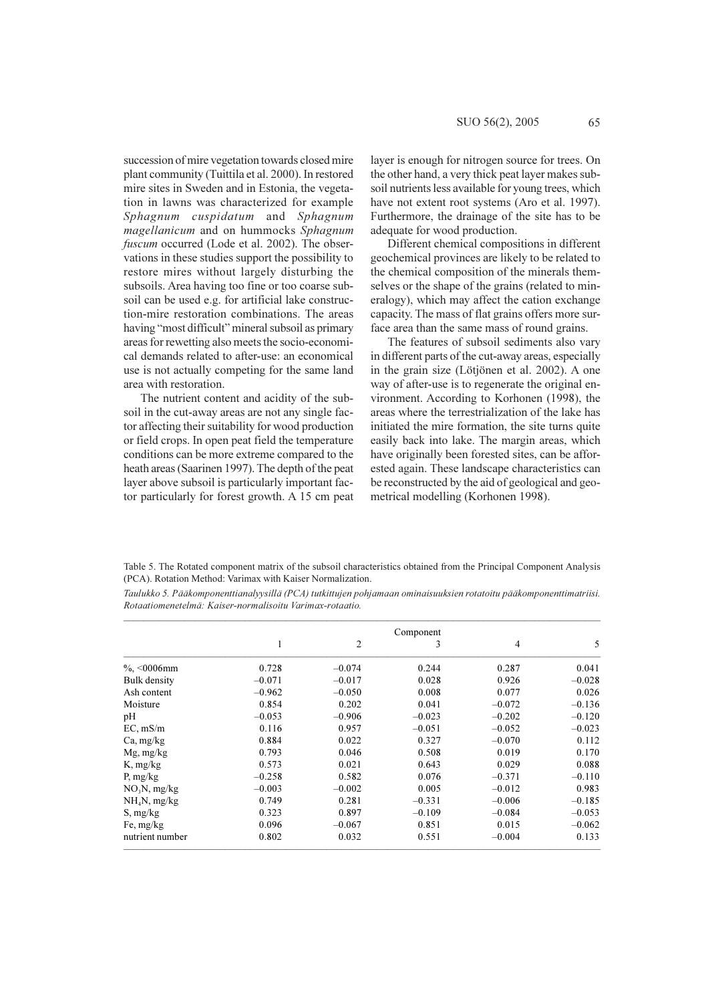succession of mire vegetation towards closed mire plant community (Tuittila et al. 2000). In restored mire sites in Sweden and in Estonia, the vegetation in lawns was characterized for example Sphagnum cuspidatum and Sphagnum magellanicum and on hummocks Sphagnum *fuscum* occurred (Lode et al. 2002). The observations in these studies support the possibility to restore mires without largely disturbing the subsoils. Area having too fine or too coarse subsoil can be used e.g. for artificial lake construction-mire restoration combinations. The areas having "most difficult" mineral subsoil as primary areas for rewetting also meets the socio-economical demands related to after-use: an economical use is not actually competing for the same land area with restoration.

The nutrient content and acidity of the subsoil in the cut-away areas are not any single factor affecting their suitability for wood production or field crops. In open peat field the temperature conditions can be more extreme compared to the heath areas (Saarinen 1997). The depth of the peat layer above subsoil is particularly important factor particularly for forest growth. A 15 cm peat layer is enough for nitrogen source for trees. On the other hand, a very thick peat layer makes subsoil nutrients less available for young trees, which have not extent root systems (Aro et al. 1997). Furthermore, the drainage of the site has to be adequate for wood production.

Different chemical compositions in different geochemical provinces are likely to be related to the chemical composition of the minerals themselves or the shape of the grains (related to mineralogy), which may affect the cation exchange capacity. The mass of flat grains offers more surface area than the same mass of round grains.

The features of subsoil sediments also vary in different parts of the cut-away areas, especially in the grain size (Lötjönen et al. 2002). A one way of after-use is to regenerate the original environment. According to Korhonen (1998), the areas where the terrestrialization of the lake has initiated the mire formation, the site turns quite easily back into lake. The margin areas, which have originally been forested sites, can be afforested again. These landscape characteristics can be reconstructed by the aid of geological and geometrical modelling (Korhonen 1998).

Table 5. The Rotated component matrix of the subsoil characteristics obtained from the Principal Component Analysis (PCA). Rotation Method: Varimax with Kaiser Normalization.

Taulukko 5. Pääkomponenttianalyysillä (PCA) tutkittujen pohjamaan ominaisuuksien rotatoitu pääkomponenttimatriisi. Rotaatiomenetelmä: Kaiser-normalisoitu Varimax-rotaatio.

|                 | Component    |                |          |                |          |  |  |
|-----------------|--------------|----------------|----------|----------------|----------|--|--|
|                 | $\mathbf{1}$ | $\overline{2}$ | 3        | $\overline{4}$ | 5        |  |  |
| $\%$ , <0006mm  | 0.728        | $-0.074$       | 0.244    | 0.287          | 0.041    |  |  |
| Bulk density    | $-0.071$     | $-0.017$       | 0.028    | 0.926          | $-0.028$ |  |  |
| Ash content     | $-0.962$     | $-0.050$       | 0.008    | 0.077          | 0.026    |  |  |
| Moisture        | 0.854        | 0.202          | 0.041    | $-0.072$       | $-0.136$ |  |  |
| pH              | $-0.053$     | $-0.906$       | $-0.023$ | $-0.202$       | $-0.120$ |  |  |
| EC, mS/m        | 0.116        | 0.957          | $-0.051$ | $-0.052$       | $-0.023$ |  |  |
| Ca, mg/kg       | 0.884        | 0.022          | 0.327    | $-0.070$       | 0.112    |  |  |
| $Mg$ , mg/kg    | 0.793        | 0.046          | 0.508    | 0.019          | 0.170    |  |  |
| $K$ , mg/kg     | 0.573        | 0.021          | 0.643    | 0.029          | 0.088    |  |  |
| P, $mg/kg$      | $-0.258$     | 0.582          | 0.076    | $-0.371$       | $-0.110$ |  |  |
| $NO_3N$ , mg/kg | $-0.003$     | $-0.002$       | 0.005    | $-0.012$       | 0.983    |  |  |
| $NH4N$ , mg/kg  | 0.749        | 0.281          | $-0.331$ | $-0.006$       | $-0.185$ |  |  |
| S, mg/kg        | 0.323        | 0.897          | $-0.109$ | $-0.084$       | $-0.053$ |  |  |
| Fe, $mg/kg$     | 0.096        | $-0.067$       | 0.851    | 0.015          | $-0.062$ |  |  |
| nutrient number | 0.802        | 0.032          | 0.551    | $-0.004$       | 0.133    |  |  |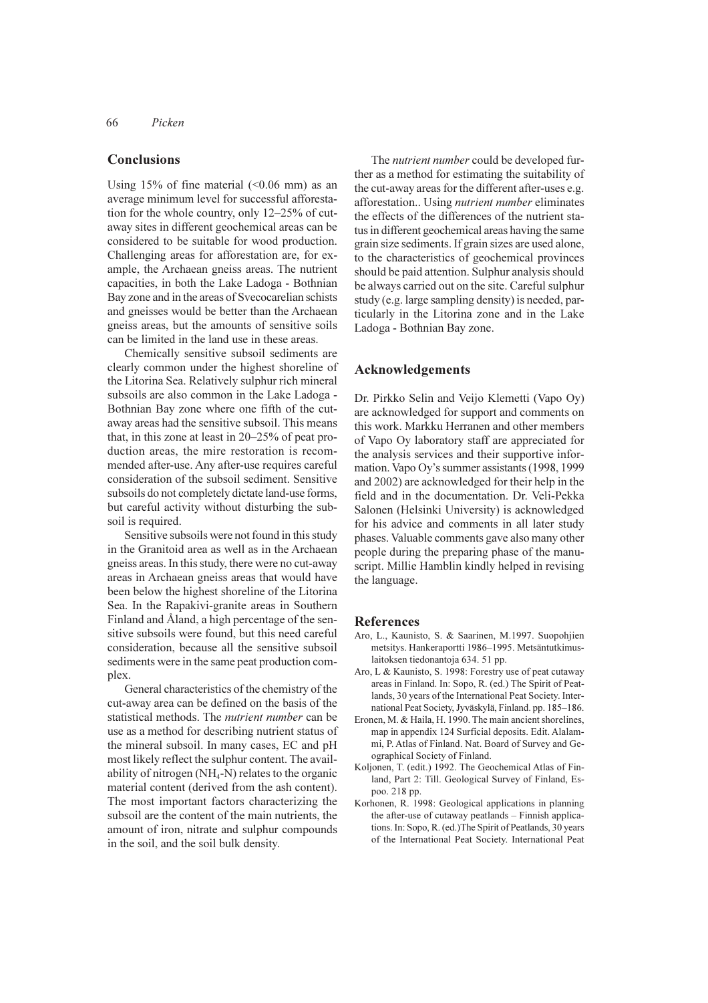66 Picken

## **Conclusions**

Using 15% of fine material  $(\leq 0.06$  mm) as an average minimum level for successful afforestation for the whole country, only 12–25% of cutaway sites in different geochemical areas can be considered to be suitable for wood production. Challenging areas for afforestation are, for example, the Archaean gneiss areas. The nutrient capacities, in both the Lake Ladoga - Bothnian Bay zone and in the areas of Svecocarelian schists and gneisses would be better than the Archaean gneiss areas, but the amounts of sensitive soils can be limited in the land use in these areas.

Chemically sensitive subsoil sediments are clearly common under the highest shoreline of the Litorina Sea. Relatively sulphur rich mineral subsoils are also common in the Lake Ladoga -Bothnian Bay zone where one fifth of the cutaway areas had the sensitive subsoil. This means that, in this zone at least in  $20-25%$  of peat production areas, the mire restoration is recommended after-use. Any after-use requires careful consideration of the subsoil sediment. Sensitive subsoils do not completely dictate land-use forms, but careful activity without disturbing the subsoil is required.

Sensitive subsoils were not found in this study in the Granitoid area as well as in the Archaean gneiss areas. In this study, there were no cut-away areas in Archaean gneiss areas that would have been below the highest shoreline of the Litorina Sea. In the Rapakivi-granite areas in Southern Finland and Åland, a high percentage of the sensitive subsoils were found, but this need careful consideration, because all the sensitive subsoil sediments were in the same peat production complex.

General characteristics of the chemistry of the cut-away area can be defined on the basis of the statistical methods. The *nutrient number* can be use as a method for describing nutrient status of the mineral subsoil. In many cases, EC and pH most likely reflect the sulphur content. The availability of nitrogen  $(NH_4-N)$  relates to the organic material content (derived from the ash content). The most important factors characterizing the subsoil are the content of the main nutrients, the amount of iron, nitrate and sulphur compounds in the soil, and the soil bulk density.

The *nutrient number* could be developed further as a method for estimating the suitability of the cut-away areas for the different after-uses e.g. afforestation.. Using nutrient number eliminates the effects of the differences of the nutrient status in different geochemical areas having the same grain size sediments. If grain sizes are used alone, to the characteristics of geochemical provinces should be paid attention. Sulphur analysis should be always carried out on the site. Careful sulphur study (e.g. large sampling density) is needed, particularly in the Litorina zone and in the Lake Ladoga - Bothnian Bay zone.

# Acknowledgements

Dr. Pirkko Selin and Veijo Klemetti (Vapo Oy) are acknowledged for support and comments on this work. Markku Herranen and other members of Vapo Oy laboratory staff are appreciated for the analysis services and their supportive information. Vapo Oy's summer assistants (1998, 1999) and 2002) are acknowledged for their help in the field and in the documentation. Dr. Veli-Pekka Salonen (Helsinki University) is acknowledged for his advice and comments in all later study phases. Valuable comments gave also many other people during the preparing phase of the manuscript. Millie Hamblin kindly helped in revising the language.

#### **References**

- Aro, L., Kaunisto, S. & Saarinen, M.1997. Suopohiien metsitys. Hankeraportti 1986-1995. Metsäntutkimuslaitoksen tiedonantoja 634. 51 pp.
- Aro, L & Kaunisto, S. 1998: Forestry use of peat cutaway areas in Finland. In: Sopo, R. (ed.) The Spirit of Peatlands, 30 years of the International Peat Society. International Peat Society, Jyväskylä, Finland. pp. 185-186.
- Eronen, M. & Haila, H. 1990. The main ancient shorelines. map in appendix 124 Surficial deposits. Edit. Alalammi, P. Atlas of Finland. Nat. Board of Survey and Geographical Society of Finland.
- Koljonen, T. (edit.) 1992. The Geochemical Atlas of Finland, Part 2: Till. Geological Survey of Finland, Espoo. 218 pp
- Korhonen, R. 1998: Geological applications in planning the after-use of cutaway peatlands – Finnish applications. In: Sopo, R. (ed.) The Spirit of Peatlands, 30 years of the International Peat Society. International Peat